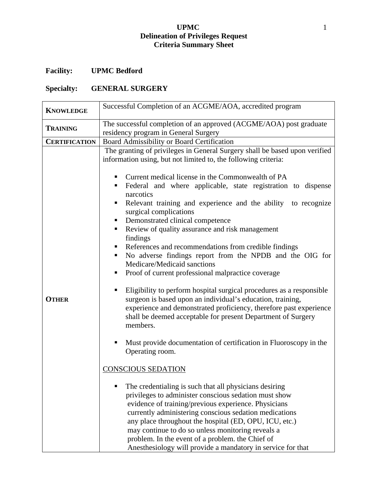## **UPMC** 1 **Delineation of Privileges Request Criteria Summary Sheet**

## **Facility: UPMC Bedford**

## **Specialty: GENERAL SURGERY**

| <b>KNOWLEDGE</b>     | Successful Completion of an ACGME/AOA, accredited program                                                                                                                                                                                                                                                                                                                                                                                                                                                                                                                                                                                                                                                                                                                                                                                                                                                                                                                                                                                                                                                                                                                                                                                                                                                                                                                                                                                                                                                                                     |
|----------------------|-----------------------------------------------------------------------------------------------------------------------------------------------------------------------------------------------------------------------------------------------------------------------------------------------------------------------------------------------------------------------------------------------------------------------------------------------------------------------------------------------------------------------------------------------------------------------------------------------------------------------------------------------------------------------------------------------------------------------------------------------------------------------------------------------------------------------------------------------------------------------------------------------------------------------------------------------------------------------------------------------------------------------------------------------------------------------------------------------------------------------------------------------------------------------------------------------------------------------------------------------------------------------------------------------------------------------------------------------------------------------------------------------------------------------------------------------------------------------------------------------------------------------------------------------|
| <b>TRAINING</b>      | The successful completion of an approved (ACGME/AOA) post graduate<br>residency program in General Surgery                                                                                                                                                                                                                                                                                                                                                                                                                                                                                                                                                                                                                                                                                                                                                                                                                                                                                                                                                                                                                                                                                                                                                                                                                                                                                                                                                                                                                                    |
| <b>CERTIFICATION</b> | Board Admissibility or Board Certification                                                                                                                                                                                                                                                                                                                                                                                                                                                                                                                                                                                                                                                                                                                                                                                                                                                                                                                                                                                                                                                                                                                                                                                                                                                                                                                                                                                                                                                                                                    |
| <b>OTHER</b>         | The granting of privileges in General Surgery shall be based upon verified<br>information using, but not limited to, the following criteria:<br>Current medical license in the Commonwealth of PA<br>Federal and where applicable, state registration to dispense<br>$\blacksquare$<br>narcotics<br>Relevant training and experience and the ability to recognize<br>ш<br>surgical complications<br>• Demonstrated clinical competence<br>Review of quality assurance and risk management<br>findings<br>• References and recommendations from credible findings<br>• No adverse findings report from the NPDB and the OIG for<br>Medicare/Medicaid sanctions<br>Proof of current professional malpractice coverage<br>ш<br>Eligibility to perform hospital surgical procedures as a responsible<br>surgeon is based upon an individual's education, training,<br>experience and demonstrated proficiency, therefore past experience<br>shall be deemed acceptable for present Department of Surgery<br>members.<br>Must provide documentation of certification in Fluoroscopy in the<br>Operating room.<br><b>CONSCIOUS SEDATION</b><br>The credentialing is such that all physicians desiring<br>privileges to administer conscious sedation must show<br>evidence of training/previous experience. Physicians<br>currently administering conscious sedation medications<br>any place throughout the hospital (ED, OPU, ICU, etc.)<br>may continue to do so unless monitoring reveals a<br>problem. In the event of a problem. the Chief of |
|                      | Anesthesiology will provide a mandatory in service for that                                                                                                                                                                                                                                                                                                                                                                                                                                                                                                                                                                                                                                                                                                                                                                                                                                                                                                                                                                                                                                                                                                                                                                                                                                                                                                                                                                                                                                                                                   |